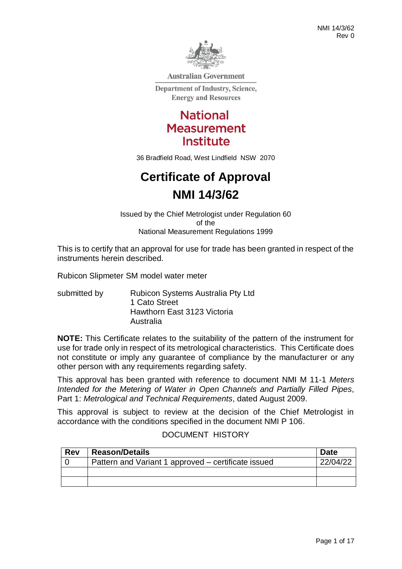

**Australian Government** 

**Department of Industry, Science, Energy and Resources** 

> **National Measurement Institute**

36 Bradfield Road, West Lindfield NSW 2070

# **Certificate of Approval NMI 14/3/62**

Issued by the Chief Metrologist under Regulation 60 of the National Measurement Regulations 1999

This is to certify that an approval for use for trade has been granted in respect of the instruments herein described.

Rubicon Slipmeter SM model water meter

submitted by Rubicon Systems Australia Pty Ltd 1 Cato Street Hawthorn East 3123 Victoria Australia

**NOTE:** This Certificate relates to the suitability of the pattern of the instrument for use for trade only in respect of its metrological characteristics. This Certificate does not constitute or imply any guarantee of compliance by the manufacturer or any other person with any requirements regarding safety.

This approval has been granted with reference to document NMI M 11-1 *Meters Intended for the Metering of Water in Open Channels and Partially Filled Pipes*, Part 1: *Metrological and Technical Requirements*, dated August 2009.

This approval is subject to review at the decision of the Chief Metrologist in accordance with the conditions specified in the document NMI P 106.

#### DOCUMENT HISTORY

| <b>Rev</b> | <b>Reason/Details</b>                               | <b>Date</b> |
|------------|-----------------------------------------------------|-------------|
|            | Pattern and Variant 1 approved – certificate issued | 22/04/2.    |
|            |                                                     |             |
|            |                                                     |             |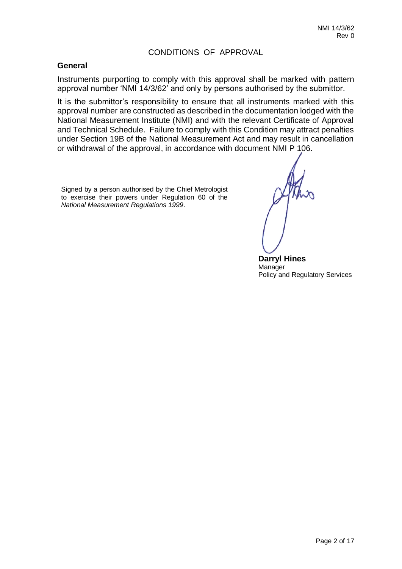#### CONDITIONS OF APPROVAL

#### **General**

Instruments purporting to comply with this approval shall be marked with pattern approval number 'NMI 14/3/62' and only by persons authorised by the submittor.

It is the submittor's responsibility to ensure that all instruments marked with this approval number are constructed as described in the documentation lodged with the National Measurement Institute (NMI) and with the relevant Certificate of Approval and Technical Schedule. Failure to comply with this Condition may attract penalties under Section 19B of the National Measurement Act and may result in cancellation or withdrawal of the approval, in accordance with document NMI P 106.

Signed by a person authorised by the Chief Metrologist to exercise their powers under Regulation 60 of the *National Measurement Regulations 1999*.

**Darryl Hines** Manager Policy and Regulatory Services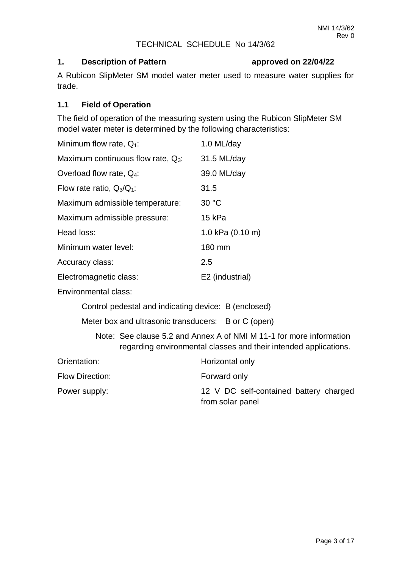#### TECHNICAL SCHEDULE No 14/3/62

#### **1. Description of Pattern approved on 22/04/22**

A Rubicon SlipMeter SM model water meter used to measure water supplies for trade.

#### **1.1 Field of Operation**

The field of operation of the measuring system using the Rubicon SlipMeter SM model water meter is determined by the following characteristics:

| Minimum flow rate, $Q_1$ :            | 1.0 ML/day       |
|---------------------------------------|------------------|
| Maximum continuous flow rate, $Q_3$ : | 31.5 ML/day      |
| Overload flow rate, $Q_4$ :           | 39.0 ML/day      |
| Flow rate ratio, $Q_3/Q_1$ :          | 31.5             |
| Maximum admissible temperature:       | 30 °C            |
| Maximum admissible pressure:          | 15 kPa           |
| Head loss:                            | 1.0 kPa (0.10 m) |
| Minimum water level:                  | 180 mm           |
| Accuracy class:                       | 2.5              |
| Electromagnetic class:                | E2 (industrial)  |
|                                       |                  |

Environmental class:

Control pedestal and indicating device: B (enclosed)

Meter box and ultrasonic transducers: B or C (open)

Note: See clause 5.2 and Annex A of NMI M 11-1 for more information regarding environmental classes and their intended applications.

| Orientation:    | Horizontal only                                            |
|-----------------|------------------------------------------------------------|
| Flow Direction: | Forward only                                               |
| Power supply:   | 12 V DC self-contained battery charged<br>from solar panel |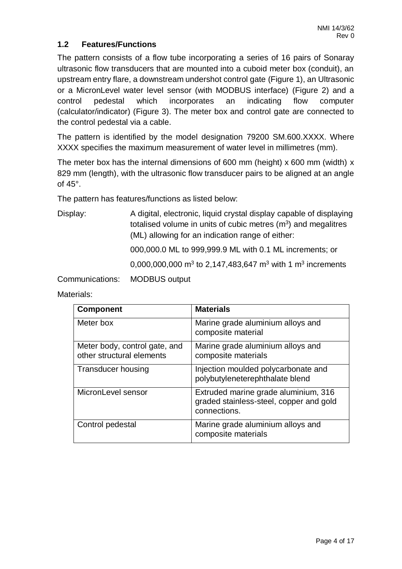### **1.2 Features/Functions**

The pattern consists of a flow tube incorporating a series of 16 pairs of Sonaray ultrasonic flow transducers that are mounted into a cuboid meter box (conduit), an upstream entry flare, a downstream undershot control gate (Figure 1), an Ultrasonic or a MicronLevel water level sensor (with MODBUS interface) (Figure 2) and a control pedestal which incorporates an indicating flow computer (calculator/indicator) (Figure 3). The meter box and control gate are connected to the control pedestal via a cable.

The pattern is identified by the model designation 79200 SM.600.XXXX. Where XXXX specifies the maximum measurement of water level in millimetres (mm).

The meter box has the internal dimensions of 600 mm (height)  $x$  600 mm (width)  $x$ 829 mm (length), with the ultrasonic flow transducer pairs to be aligned at an angle of 45°.

The pattern has features/functions as listed below:

Display: A digital, electronic, liquid crystal display capable of displaying totalised volume in units of cubic metres  $(m<sup>3</sup>)$  and megalitres (ML) allowing for an indication range of either:

000,000.0 ML to 999,999.9 ML with 0.1 ML increments; or

0,000,000,000 m<sup>3</sup> to 2,147,483,647 m<sup>3</sup> with 1 m<sup>3</sup> increments

Communications: MODBUS output

| <b>Component</b>                                           | <b>Materials</b>                                                                                |
|------------------------------------------------------------|-------------------------------------------------------------------------------------------------|
| Meter box                                                  | Marine grade aluminium alloys and<br>composite material                                         |
| Meter body, control gate, and<br>other structural elements | Marine grade aluminium alloys and<br>composite materials                                        |
| <b>Transducer housing</b>                                  | Injection moulded polycarbonate and<br>polybutyleneterephthalate blend                          |
| MicronLevel sensor                                         | Extruded marine grade aluminium, 316<br>graded stainless-steel, copper and gold<br>connections. |
| Control pedestal                                           | Marine grade aluminium alloys and<br>composite materials                                        |

Materials: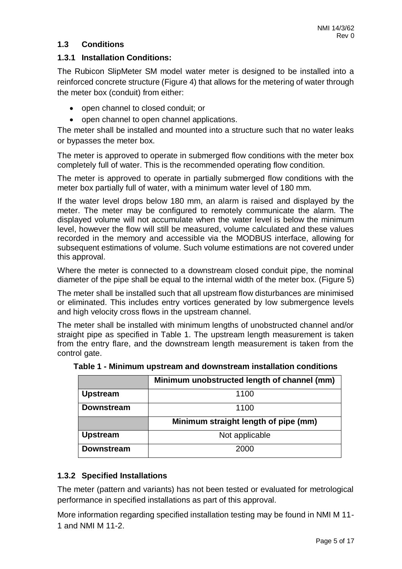# **1.3 Conditions**

### **1.3.1 Installation Conditions:**

The Rubicon SlipMeter SM model water meter is designed to be installed into a reinforced concrete structure (Figure 4) that allows for the metering of water through the meter box (conduit) from either:

- open channel to closed conduit; or
- open channel to open channel applications.

The meter shall be installed and mounted into a structure such that no water leaks or bypasses the meter box.

The meter is approved to operate in submerged flow conditions with the meter box completely full of water. This is the recommended operating flow condition.

The meter is approved to operate in partially submerged flow conditions with the meter box partially full of water, with a minimum water level of 180 mm.

If the water level drops below 180 mm, an alarm is raised and displayed by the meter. The meter may be configured to remotely communicate the alarm. The displayed volume will not accumulate when the water level is below the minimum level, however the flow will still be measured, volume calculated and these values recorded in the memory and accessible via the MODBUS interface, allowing for subsequent estimations of volume. Such volume estimations are not covered under this approval.

Where the meter is connected to a downstream closed conduit pipe, the nominal diameter of the pipe shall be equal to the internal width of the meter box. (Figure 5)

The meter shall be installed such that all upstream flow disturbances are minimised or eliminated. This includes entry vortices generated by low submergence levels and high velocity cross flows in the upstream channel.

The meter shall be installed with minimum lengths of unobstructed channel and/or straight pipe as specified in Table 1. The upstream length measurement is taken from the entry flare, and the downstream length measurement is taken from the control gate.

|                   | Minimum unobstructed length of channel (mm) |
|-------------------|---------------------------------------------|
| <b>Upstream</b>   | 1100                                        |
| <b>Downstream</b> | 1100                                        |
|                   | Minimum straight length of pipe (mm)        |
| <b>Upstream</b>   | Not applicable                              |
| <b>Downstream</b> | 2000                                        |

**Table 1 - Minimum upstream and downstream installation conditions**

# **1.3.2 Specified Installations**

The meter (pattern and variants) has not been tested or evaluated for metrological performance in specified installations as part of this approval.

More information regarding specified installation testing may be found in NMI M 11- 1 and NMI M 11-2.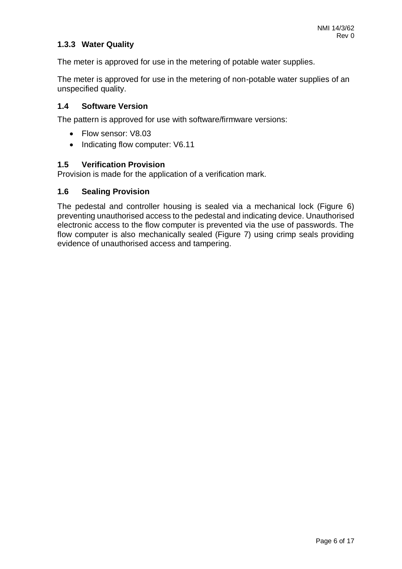# **1.3.3 Water Quality**

The meter is approved for use in the metering of potable water supplies.

The meter is approved for use in the metering of non-potable water supplies of an unspecified quality.

### **1.4 Software Version**

The pattern is approved for use with software/firmware versions:

- Flow sensor: V8.03
- Indicating flow computer: V6.11

#### **1.5 Verification Provision**

Provision is made for the application of a verification mark.

#### **1.6 Sealing Provision**

The pedestal and controller housing is sealed via a mechanical lock (Figure 6) preventing unauthorised access to the pedestal and indicating device. Unauthorised electronic access to the flow computer is prevented via the use of passwords. The flow computer is also mechanically sealed (Figure 7) using crimp seals providing evidence of unauthorised access and tampering.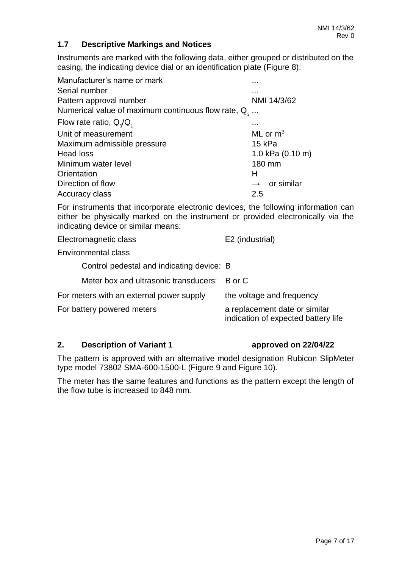### **1.7 Descriptive Markings and Notices**

Instruments are marked with the following data, either grouped or distributed on the casing, the indicating device dial or an identification plate (Figure 8):

| Manufacturer's name or mark                            | .                        |
|--------------------------------------------------------|--------------------------|
| Serial number                                          | .                        |
| Pattern approval number                                | NMI 14/3/62              |
| Numerical value of maximum continuous flow rate, $Q_3$ |                          |
| Flow rate ratio, $Q_3/Q_1$                             |                          |
| Unit of measurement                                    | ML or $m3$               |
| Maximum admissible pressure                            | 15 kPa                   |
| Head loss                                              | 1.0 kPa (0.10 m)         |
| Minimum water level                                    | 180 mm                   |
| Orientation                                            | н                        |
| Direction of flow                                      | $\rightarrow$ or similar |
| Accuracy class                                         | 2.5                      |

For instruments that incorporate electronic devices, the following information can either be physically marked on the instrument or provided electronically via the indicating device or similar means:

| Electromagnetic class                     | E2 (industrial)                                                      |
|-------------------------------------------|----------------------------------------------------------------------|
| <b>Environmental class</b>                |                                                                      |
| Control pedestal and indicating device: B |                                                                      |
| Meter box and ultrasonic transducers:     | B or C                                                               |
| For meters with an external power supply  | the voltage and frequency                                            |
| For battery powered meters                | a replacement date or similar<br>indication of expected battery life |
|                                           |                                                                      |

#### **2. Description of Variant 1 approved on 22/04/22**

The pattern is approved with an alternative model designation Rubicon SlipMeter type model 73802 SMA-600-1500-L (Figure 9 and Figure 10).

The meter has the same features and functions as the pattern except the length of the flow tube is increased to 848 mm.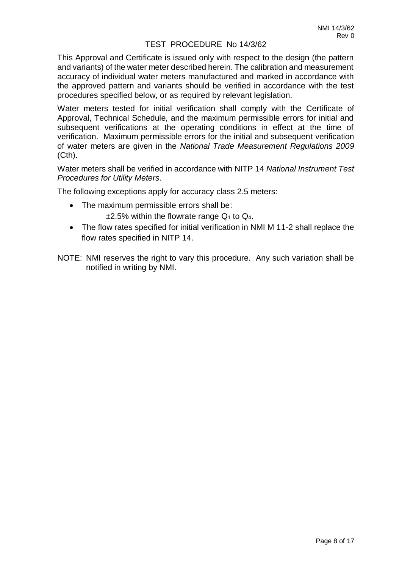#### TEST PROCEDURE No 14/3/62

This Approval and Certificate is issued only with respect to the design (the pattern and variants) of the water meter described herein. The calibration and measurement accuracy of individual water meters manufactured and marked in accordance with the approved pattern and variants should be verified in accordance with the test procedures specified below, or as required by relevant legislation.

Water meters tested for initial verification shall comply with the Certificate of Approval, Technical Schedule, and the maximum permissible errors for initial and subsequent verifications at the operating conditions in effect at the time of verification. Maximum permissible errors for the initial and subsequent verification of water meters are given in the *National Trade Measurement Regulations 2009* (Cth).

Water meters shall be verified in accordance with NITP 14 *National Instrument Test Procedures for Utility Meters*.

The following exceptions apply for accuracy class 2.5 meters:

- The maximum permissible errors shall be:
- $\pm$ 2.5% within the flowrate range  $Q_1$  to  $Q_4$ . The flow rates specified for initial verification in NMI M 11-2 shall replace the
- flow rates specified in NITP 14.
- NOTE: NMI reserves the right to vary this procedure. Any such variation shall be notified in writing by NMI.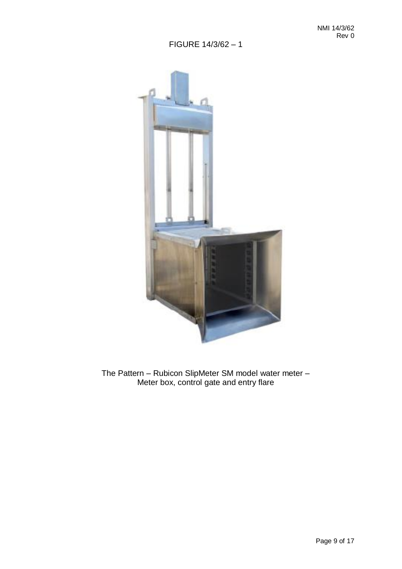

The Pattern – Rubicon SlipMeter SM model water meter – Meter box, control gate and entry flare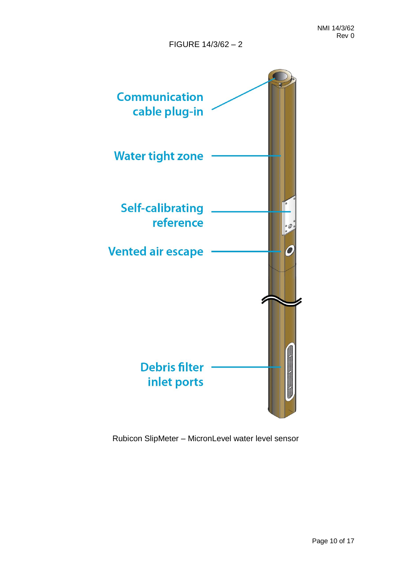

Rubicon SlipMeter – MicronLevel water level sensor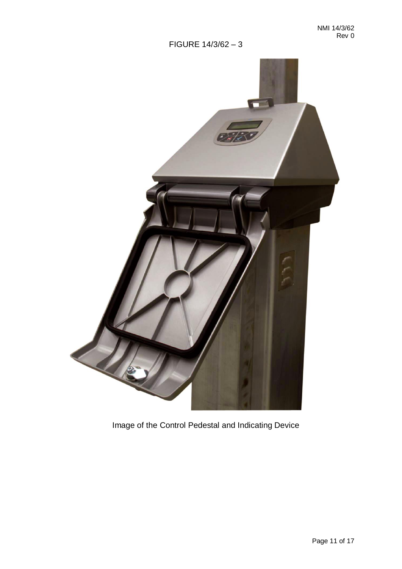

Image of the Control Pedestal and Indicating Device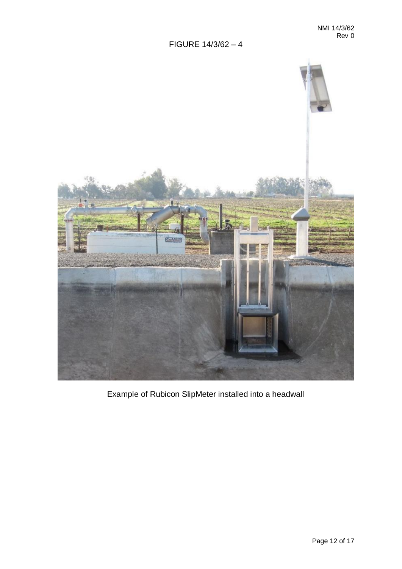

Example of Rubicon SlipMeter installed into a headwall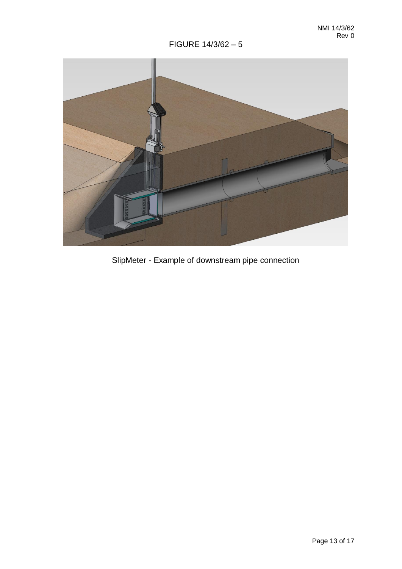

SlipMeter - Example of downstream pipe connection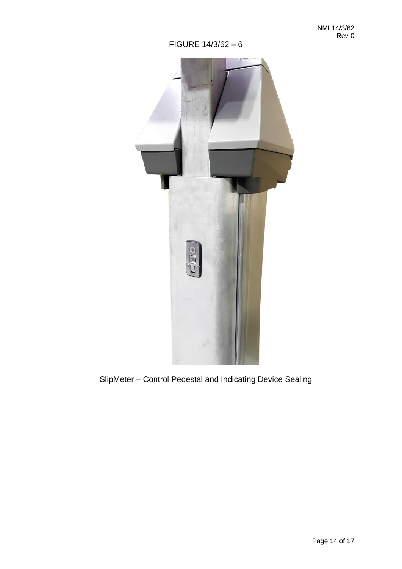

# SlipMeter – Control Pedestal and Indicating Device Sealing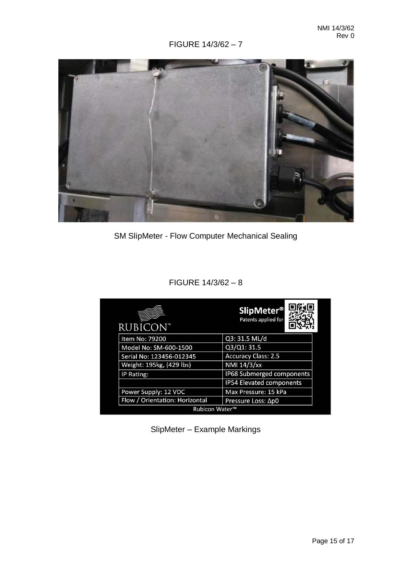

SM SlipMeter - Flow Computer Mechanical Sealing

# FIGURE 14/3/62 – 8

| <b>RUBICON™</b>                | <b>SlipMeter<sup>®</sup></b><br>Patents applied for |
|--------------------------------|-----------------------------------------------------|
| Item No: 79200                 | Q3: 31.5 ML/d                                       |
| Model No: SM-600-1500          | Q3/Q1: 31.5                                         |
| Serial No: 123456-012345       | <b>Accuracy Class: 2.5</b>                          |
| Weight: 195kg, (429 lbs)       | NMI 14/3/xx                                         |
| IP Rating:                     | IP68 Submerged components                           |
|                                | <b>IP54 Elevated components</b>                     |
| Power Supply: 12 VDC           | Max Pressure: 15 kPa                                |
| Flow / Orientation: Horizontal | Pressure Loss: Ap0                                  |
| <b>Rubicon Water™</b>          |                                                     |

SlipMeter – Example Markings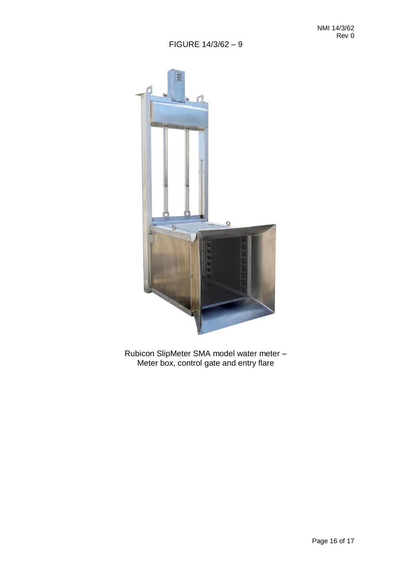

Rubicon SlipMeter SMA model water meter – Meter box, control gate and entry flare